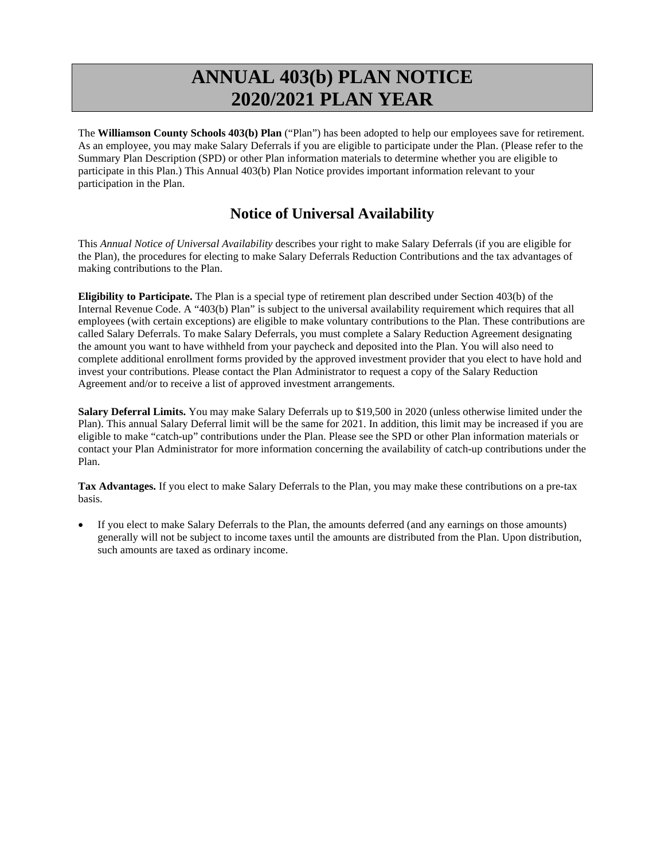# **ANNUAL 403(b) PLAN NOTICE 2020/2021 PLAN YEAR**

The **Williamson County Schools 403(b) Plan** ("Plan") has been adopted to help our employees save for retirement. As an employee, you may make Salary Deferrals if you are eligible to participate under the Plan. (Please refer to the Summary Plan Description (SPD) or other Plan information materials to determine whether you are eligible to participate in this Plan.) This Annual 403(b) Plan Notice provides important information relevant to your participation in the Plan.

# **Notice of Universal Availability**

This *Annual Notice of Universal Availability* describes your right to make Salary Deferrals (if you are eligible for the Plan), the procedures for electing to make Salary Deferrals Reduction Contributions and the tax advantages of making contributions to the Plan.

**Eligibility to Participate.** The Plan is a special type of retirement plan described under Section 403(b) of the Internal Revenue Code. A "403(b) Plan" is subject to the universal availability requirement which requires that all employees (with certain exceptions) are eligible to make voluntary contributions to the Plan. These contributions are called Salary Deferrals. To make Salary Deferrals, you must complete a Salary Reduction Agreement designating the amount you want to have withheld from your paycheck and deposited into the Plan. You will also need to complete additional enrollment forms provided by the approved investment provider that you elect to have hold and invest your contributions. Please contact the Plan Administrator to request a copy of the Salary Reduction Agreement and/or to receive a list of approved investment arrangements.

**Salary Deferral Limits.** You may make Salary Deferrals up to \$19,500 in 2020 (unless otherwise limited under the Plan). This annual Salary Deferral limit will be the same for 2021. In addition, this limit may be increased if you are eligible to make "catch-up" contributions under the Plan. Please see the SPD or other Plan information materials or contact your Plan Administrator for more information concerning the availability of catch-up contributions under the Plan.

**Tax Advantages.** If you elect to make Salary Deferrals to the Plan, you may make these contributions on a pre-tax basis.

• If you elect to make Salary Deferrals to the Plan, the amounts deferred (and any earnings on those amounts) generally will not be subject to income taxes until the amounts are distributed from the Plan. Upon distribution, such amounts are taxed as ordinary income.